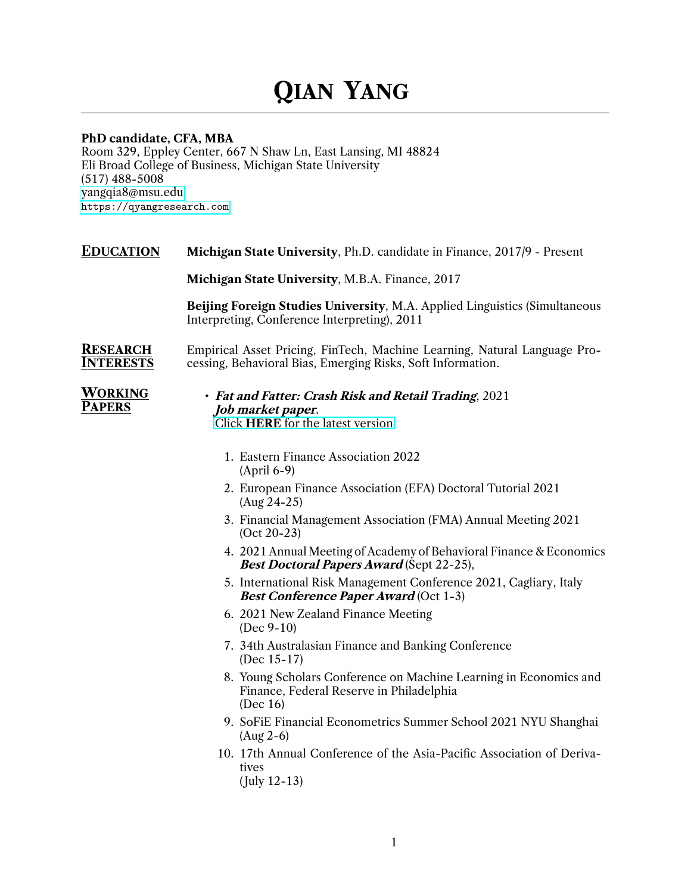# **QIAN YANG**

# **PhD candidate, CFA, MBA**

Room 329, Eppley Center, 667 N Shaw Ln, East Lansing, MI 48824 Eli Broad College of Business, Michigan State University (517) 488-5008 [yangqia8@msu.edu](mailto:yangqia8@msu.edu) <https://qyangresearch.com>

**EDUCATION Michigan State University**, Ph.D. candidate in Finance, 2017/9 - Present

**Michigan State University**, M.B.A. Finance, 2017

**Beijing Foreign Studies University**, M.A. Applied Linguistics (Simultaneous Interpreting, Conference Interpreting), 2011

#### **RESEARCH INTERESTS** Empirical Asset Pricing, FinTech, Machine Learning, Natural Language Processing, Behavioral Bias, Emerging Risks, Soft Information.

**WORKING PAPERS**

• *Fat and Fatter: Crash Risk and Retail Trading*, 2021 *Job market paper*. Click **HERE** [for the latest version](https://www.dropbox.com/s/8cg6xaxualoik59/Fat_Fatter_1007_Qian.pdf?dl=0)

- 1. Eastern Finance Association 2022 (April 6-9)
- 2. European Finance Association (EFA) Doctoral Tutorial 2021 (Aug 24-25)
- 3. Financial Management Association (FMA) Annual Meeting 2021 (Oct 20-23)
- 4. 2021 Annual Meeting of Academy of Behavioral Finance & Economics *Best Doctoral Papers Award* (Sept 22-25),
- 5. International Risk Management Conference 2021, Cagliary, Italy *Best Conference Paper Award* (Oct 1-3)
- 6. 2021 New Zealand Finance Meeting (Dec 9-10)
- 7. 34th Australasian Finance and Banking Conference (Dec 15-17)
- 8. Young Scholars Conference on Machine Learning in Economics and Finance, Federal Reserve in Philadelphia (Dec 16)
- 9. SoFiE Financial Econometrics Summer School 2021 NYU Shanghai (Aug 2-6)
- 10. 17th Annual Conference of the Asia-Pacific Association of Derivatives

( July 12-13)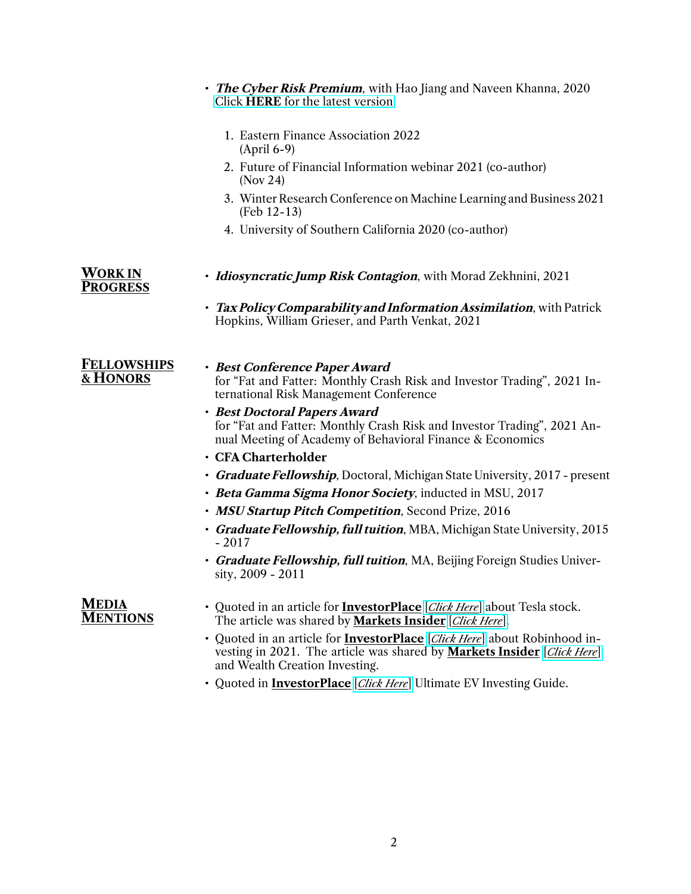|                                   | • The Cyber Risk Premium, with Hao Jiang and Naveen Khanna, 2020<br>Click HERE for the latest version                                                                                                         |
|-----------------------------------|---------------------------------------------------------------------------------------------------------------------------------------------------------------------------------------------------------------|
|                                   | 1. Eastern Finance Association 2022<br>$(April 6-9)$                                                                                                                                                          |
|                                   | 2. Future of Financial Information webinar 2021 (co-author)<br>$($ Nov 24 $)$                                                                                                                                 |
|                                   | 3. Winter Research Conference on Machine Learning and Business 2021<br>$(Feb 12-13)$                                                                                                                          |
|                                   | 4. University of Southern California 2020 (co-author)                                                                                                                                                         |
| <b>WORK IN</b><br><b>PROGRESS</b> | • <i>Idiosyncratic Jump Risk Contagion</i> , with Morad Zekhnini, 2021                                                                                                                                        |
|                                   | • Tax Policy Comparability and Information Assimilation, with Patrick<br>Hopkins, William Grieser, and Parth Venkat, 2021                                                                                     |
| <b>FELLOWSHIPS</b><br>& HONORS    | · Best Conference Paper Award<br>for "Fat and Fatter: Monthly Crash Risk and Investor Trading", 2021 In-<br>ternational Risk Management Conference                                                            |
|                                   | · Best Doctoral Papers Award<br>for "Fat and Fatter: Monthly Crash Risk and Investor Trading", 2021 An-<br>nual Meeting of Academy of Behavioral Finance & Economics                                          |
|                                   | · CFA Charterholder                                                                                                                                                                                           |
|                                   | • Graduate Fellowship, Doctoral, Michigan State University, 2017 - present                                                                                                                                    |
|                                   | • Beta Gamma Sigma Honor Society, inducted in MSU, 2017                                                                                                                                                       |
|                                   | · MSU Startup Pitch Competition, Second Prize, 2016                                                                                                                                                           |
|                                   | • Graduate Fellowship, full tuition, MBA, Michigan State University, 2015<br>$-2017$                                                                                                                          |
|                                   | • Graduate Fellowship, full tuition, MA, Beijing Foreign Studies Univer-<br>sity, 2009 - 2011                                                                                                                 |
| <b>MEDIA</b><br><b>MENTIONS</b>   | • Quoted in an article for <b>InvestorPlace</b> [ <i>Click Here</i> ] about Tesla stock.<br>The article was shared by <b>Markets Insider</b> [Click Here].                                                    |
|                                   | • Quoted in an article for <b>InvestorPlace</b> [ <i>Click Here</i> ] about Robinhood in-<br>vesting in 2021. The article was shared by <b>Markets Insider</b> [Click Here]<br>and Wealth Creation Investing. |

• Quoted in **InvestorPlace** [*[Click Here](https://investorplace.com/electric-car-stocks-you-need-to-know-right-now/)*] Ultimate EV Investing Guide.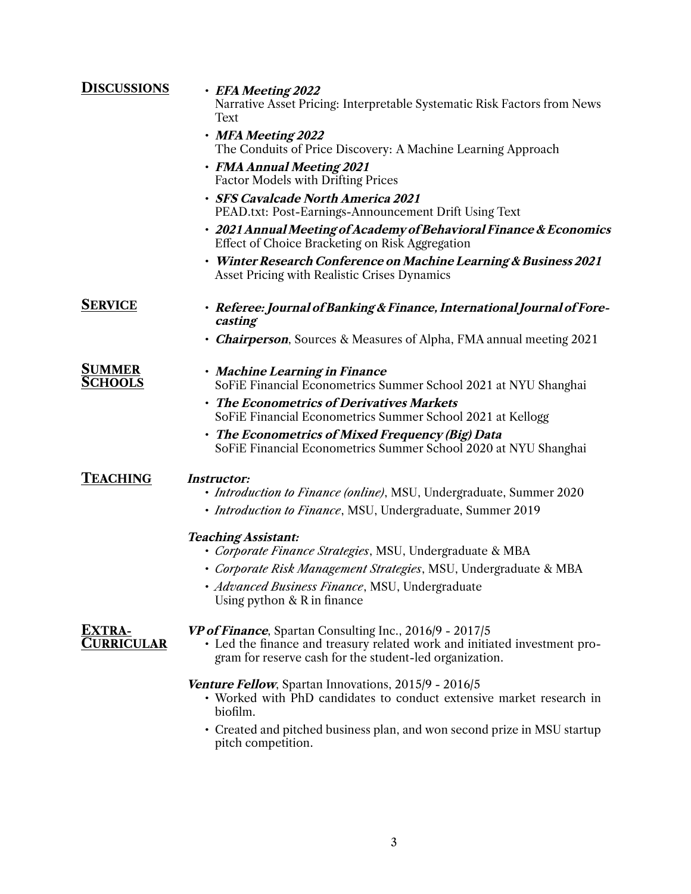| <b>DISCUSSIONS</b>                 | • EFA Meeting 2022<br>Narrative Asset Pricing: Interpretable Systematic Risk Factors from News<br>Text                                                                                                  |
|------------------------------------|---------------------------------------------------------------------------------------------------------------------------------------------------------------------------------------------------------|
|                                    | • MFA Meeting 2022<br>The Conduits of Price Discovery: A Machine Learning Approach                                                                                                                      |
|                                    | • FMA Annual Meeting 2021<br><b>Factor Models with Drifting Prices</b>                                                                                                                                  |
|                                    | · SFS Cavalcade North America 2021<br>PEAD.txt: Post-Earnings-Announcement Drift Using Text                                                                                                             |
|                                    | • 2021 Annual Meeting of Academy of Behavioral Finance & Economics<br>Effect of Choice Bracketing on Risk Aggregation                                                                                   |
|                                    | · Winter Research Conference on Machine Learning & Business 2021<br>Asset Pricing with Realistic Crises Dynamics                                                                                        |
| <b>SERVICE</b>                     | • Referee: Journal of Banking & Finance, International Journal of Fore-<br>casting                                                                                                                      |
|                                    | • <b><i>Chairperson</i></b> , Sources & Measures of Alpha, FMA annual meeting 2021                                                                                                                      |
| <b>SUMMER</b><br><b>S</b> CHOOLS   | • Machine Learning in Finance<br>SoFiE Financial Econometrics Summer School 2021 at NYU Shanghai                                                                                                        |
|                                    | • The Econometrics of Derivatives Markets<br>SoFiE Financial Econometrics Summer School 2021 at Kellogg                                                                                                 |
|                                    | • The Econometrics of Mixed Frequency (Big) Data<br>SoFiE Financial Econometrics Summer School 2020 at NYU Shanghai                                                                                     |
| Teaching                           | <b>Instructor:</b><br>• <i>Introduction to Finance (online)</i> , MSU, Undergraduate, Summer 2020                                                                                                       |
|                                    | • <i>Introduction to Finance</i> , MSU, Undergraduate, Summer 2019                                                                                                                                      |
|                                    | <b>Teaching Assistant:</b><br>• Corporate Finance Strategies, MSU, Undergraduate & MBA                                                                                                                  |
|                                    | · Corporate Risk Management Strategies, MSU, Undergraduate & MBA                                                                                                                                        |
|                                    | · Advanced Business Finance, MSU, Undergraduate<br>Using python $& R$ in finance                                                                                                                        |
| <b>Extra-</b><br><b>CURRICULAR</b> | <b>VP of Finance</b> , Spartan Consulting Inc., 2016/9 - 2017/5<br>• Led the finance and treasury related work and initiated investment pro-<br>gram for reserve cash for the student-led organization. |
|                                    | Venture Fellow, Spartan Innovations, 2015/9 - 2016/5<br>• Worked with PhD candidates to conduct extensive market research in<br>biofilm.                                                                |
|                                    | • Created and pitched business plan, and won second prize in MSU startup<br>pitch competition.                                                                                                          |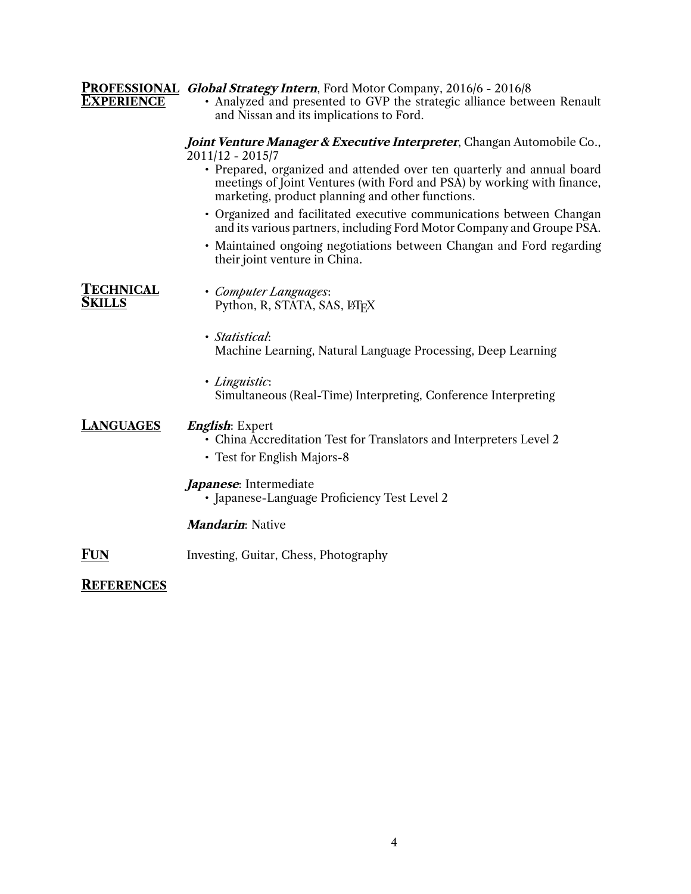| <b>EXPERIENCE</b>                 | <b>PROFESSIONAL Global Strategy Intern, Ford Motor Company, 2016/6 - 2016/8</b><br>• Analyzed and presented to GVP the strategic alliance between Renault<br>and Nissan and its implications to Ford. |
|-----------------------------------|-------------------------------------------------------------------------------------------------------------------------------------------------------------------------------------------------------|
|                                   | Joint Venture Manager & Executive Interpreter, Changan Automobile Co.,<br>$2011/12 - 2015/7$                                                                                                          |
|                                   | • Prepared, organized and attended over ten quarterly and annual board<br>meetings of Joint Ventures (with Ford and PSA) by working with finance,<br>marketing, product planning and other functions. |
|                                   | • Organized and facilitated executive communications between Changan<br>and its various partners, including Ford Motor Company and Groupe PSA.                                                        |
|                                   | · Maintained ongoing negotiations between Changan and Ford regarding<br>their joint venture in China.                                                                                                 |
| <b>TECHNICAL</b><br><b>SKILLS</b> | • Computer Languages:<br>Python, R, STATA, SAS, LTFX                                                                                                                                                  |
|                                   | · Statistical:<br>Machine Learning, Natural Language Processing, Deep Learning                                                                                                                        |
|                                   | · Linguistic:<br>Simultaneous (Real-Time) Interpreting, Conference Interpreting                                                                                                                       |
| <b>LANGUAGES</b>                  | <i>English</i> : Expert<br>• China Accreditation Test for Translators and Interpreters Level 2<br>• Test for English Majors-8                                                                         |
|                                   | Japanese: Intermediate<br>• Japanese-Language Proficiency Test Level 2                                                                                                                                |
|                                   | <b>Mandarin:</b> Native                                                                                                                                                                               |
| <b>FUN</b>                        | Investing, Guitar, Chess, Photography                                                                                                                                                                 |
| <b>REFERENCES</b>                 |                                                                                                                                                                                                       |